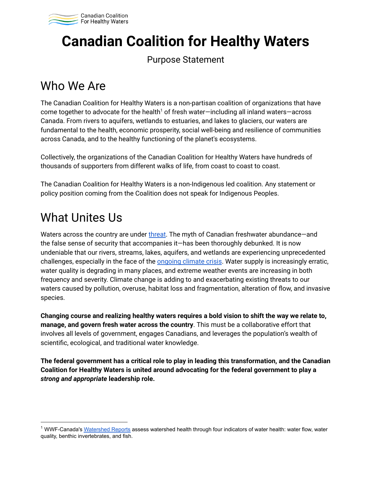

# **Canadian Coalition for Healthy Waters**

#### Purpose Statement

### Who We Are

The Canadian Coalition for Healthy Waters is a non-partisan coalition of organizations that have come together to advocate for the health<sup>1</sup> of fresh water—including all inland waters—across Canada. From rivers to aquifers, wetlands to estuaries, and lakes to glaciers, our waters are fundamental to the health, economic prosperity, social well-being and resilience of communities across Canada, and to the healthy functioning of the planet's ecosystems.

Collectively, the organizations of the Canadian Coalition for Healthy Waters have hundreds of thousands of supporters from different walks of life, from coast to coast to coast.

The Canadian Coalition for Healthy Waters is a non-Indigenous led coalition. Any statement or policy position coming from the Coalition does not speak for Indigenous Peoples.

### What Unites Us

Waters across the country are under [threat](https://wwf.ca/wp-content/uploads/2020/10/WWF-Watershed-Report-2020-FINAL-WEB.pdf). The myth of Canadian freshwater abundance—and the false sense of security that accompanies it—has been thoroughly debunked. It is now undeniable that our rivers, streams, lakes, aquifers, and wetlands are experiencing unprecedented challenges, especially in the face of the **[ongoing](https://www.nrcan.gc.ca/sites/www.nrcan.gc.ca/files/energy/Climate-change/pdf/CCCR_FULLREPORT-EN-FINAL.pdf) climate crisis**. Water supply is increasingly erratic, water quality is degrading in many places, and extreme weather events are increasing in both frequency and severity. Climate change is adding to and exacerbating existing threats to our waters caused by pollution, overuse, habitat loss and fragmentation, alteration of flow, and invasive species.

**Changing course and realizing healthy waters requires a bold vision to shift the way we relate to, manage, and govern fresh water across the country**. This must be a collaborative effort that involves all levels of government, engages Canadians, and leverages the population's wealth of scientific, ecological, and traditional water knowledge.

**The federal government has a critical role to play in leading this transformation, and the Canadian Coalition for Healthy Waters is united around advocating for the federal government to play a** *strong and appropriate* **leadership role.**

<sup>&</sup>lt;sup>1</sup> WWF-Canada's [Watershed Reports](https://watershedreports.wwf.ca/#intro) assess watershed health through four indicators of water health: water flow, water quality, benthic invertebrates, and fish.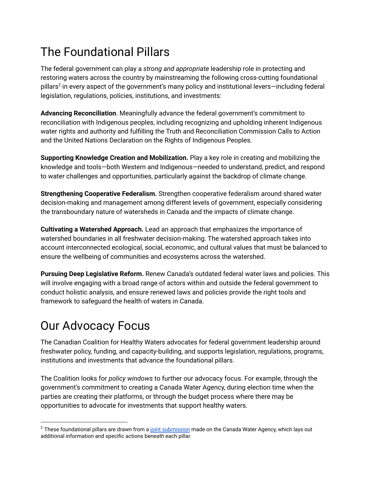# The Foundational Pillars

The federal government can play a *strong and appropriate* leadership role in protecting and restoring waters across the country by mainstreaming the following cross-cutting foundational pillars<sup>2</sup> in every aspect of the government's many policy and institutional levers—including federal legislation, regulations, policies, institutions, and investments:

**Advancing Reconciliation**. Meaningfully advance the federal government's commitment to reconciliation with Indigenous peoples, including recognizing and upholding inherent Indigenous water rights and authority and fulfilling the Truth and Reconciliation Commission Calls to Action and the United Nations Declaration on the Rights of Indigenous Peoples.

**Supporting Knowledge Creation and Mobilization.** Play a key role in creating and mobilizing the knowledge and tools—both Western and Indigenous—needed to understand, predict, and respond to water challenges and opportunities, particularly against the backdrop of climate change.

**Strengthening Cooperative Federalism.** Strengthen cooperative federalism around shared water decision-making and management among different levels of government, especially considering the transboundary nature of watersheds in Canada and the impacts of climate change.

**Cultivating a Watershed Approach.** Lead an approach that emphasizes the importance of watershed boundaries in all freshwater decision-making. The watershed approach takes into account interconnected ecological, social, economic, and cultural values that must be balanced to ensure the wellbeing of communities and ecosystems across the watershed.

**Pursuing Deep Legislative Reform.** Renew Canada's outdated federal water laws and policies. This will involve engaging with a broad range of actors within and outside the federal government to conduct holistic analysis, and ensure renewed laws and policies provide the right tools and framework to safeguard the health of waters in Canada.

# Our Advocacy Focus

The Canadian Coalition for Healthy Waters advocates for federal government leadership around freshwater policy, funding, and capacity-building, and supports legislation, regulations, programs, institutions and investments that advance the foundational pillars.

The Coalition looks for *policy windows* to further our advocacy focus. For example, through the government's commitment to creating a Canada Water Agency, during election time when the parties are creating their platforms, or through the budget process where there may be opportunities to advocate for investments that support healthy waters.

 $2$  These foundational pillars are drawn from a joint [submission](https://d3n8a8pro7vhmx.cloudfront.net/freshwateralliance/pages/1768/attachments/original/1615247753/Collective_Submission_Five_Foundational_Pillars_for_a_Canada_Water_Agency.pdf?1615247753) made on the Canada Water Agency, which lays out additional information and specific actions beneath each pillar.